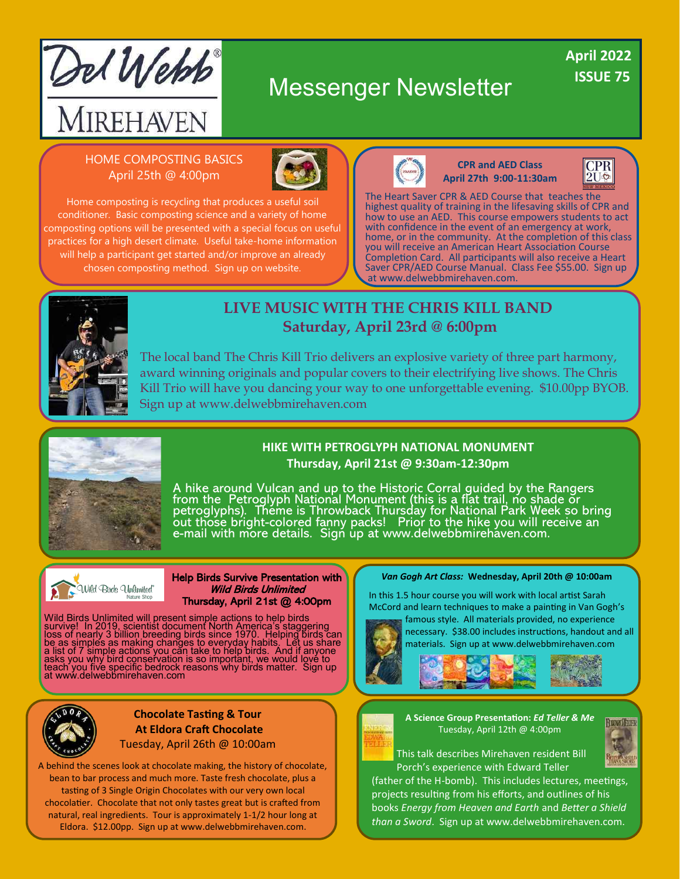

# Messenger Newsletter

## **ISSUE 75 April 2022**

### HOME COMPOSTING BASICS April 25th @ 4:00pm



Home composting is recycling that produces a useful soil conditioner. Basic composting science and a variety of home composting options will be presented with a special focus on useful practices for a high desert climate. Useful take-home information will help a participant get started and/or improve an already chosen composting method. Sign up on website.



**CPR and AED Class April 27th 9:00-11:30am**



The Heart Saver CPR & AED Course that teaches the highest quality of training in the lifesaving skills of CPR and how to use an AED. This course empowers students to act with confidence in the event of an emergency at work, home, or in the community. At the completion of this class you will receive an American Heart Association Course Completion Card. All participants will also receive a Heart Saver CPR/AED Course Manual. Class Fee \$55.00. Sign up at www.delwebbmirehaven.com.



## **LIVE MUSIC WITH THE CHRIS KILL BAND Saturday, April 23rd @ 6:00pm**

The local band The Chris Kill Trio delivers an explosive variety of three part harmony, award winning originals and popular covers to their electrifying live shows. The Chris Kill Trio will have you dancing your way to one unforgettable evening. \$10.00pp BYOB. Sign up at www.delwebbmirehaven.com



#### **HIKE WITH PETROGLYPH NATIONAL MONUMENT Thursday, April 21st @ 9:30am-12:30pm**

A hike around Vulcan and up to the Historic Corral guided by the Rangers from the Petroglyph National Monument (this is a flat trail, no shade or petroglyphs). Théme is Throwback Thursday for National Park Week so bring out those bright-colored fanny packs! Prior to the hike you will receive an e-mail with more details. Sigń up at www.delwebbmirehaven.com.



#### Help Birds Survive Presentation with Wild Birds Unlimited Thursday, April 21st @ 4:00pm

Wild Birds Unlimited will present simple actions to help birds<br>survive! In 2019, scientist document North America's staggering<br>loss of nearly 3 billion breeding birds since 1970. Helping birds can<br>be as simples as making c



#### **Chocolate Tasting & Tour At Eldora Craft Chocolate** Tuesday, April 26th @ 10:00am

A behind the scenes look at chocolate making, the history of chocolate, bean to bar process and much more. Taste fresh chocolate, plus a tasting of 3 Single Origin Chocolates with our very own local chocolatier. Chocolate that not only tastes great but is crafted from natural, real ingredients. Tour is approximately 1-1/2 hour long at Eldora. \$12.00pp. Sign up at www.delwebbmirehaven.com.

#### *Van Gogh Art Class:* **Wednesday, April 20th @ 10:00am**

In this 1.5 hour course you will work with local artist Sarah McCord and learn techniques to make a painting in Van Gogh's

famous style. All materials provided, no experience necessary. \$38.00 includes instructions, handout and all materials. Sign up at www.delwebbmirehaven.com



#### **A Science Group Presentation:** *Ed Teller & Me* Tuesday, April 12th @ 4:00pm



This talk describes Mirehaven resident Bill Porch's experience with Edward Teller

(father of the H-bomb). This includes lectures, meetings, projects resulting from his efforts, and outlines of his books *Energy from Heaven and Earth* and *Better a Shield than a Sword*. Sign up at www.delwebbmirehaven.com.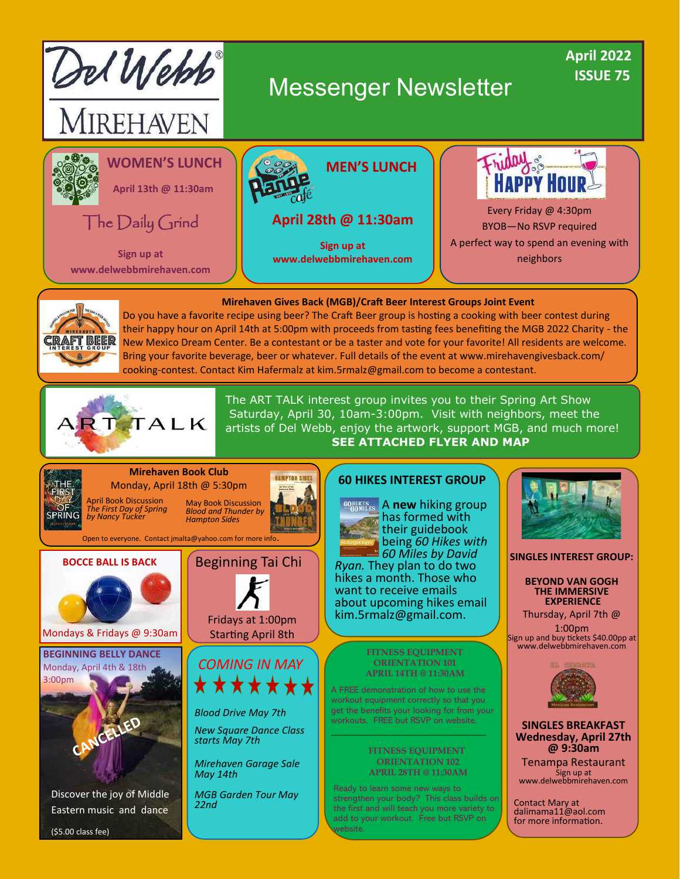



Do you have a favorite recipe using beer? The Craft Beer group is hosting a cooking with beer contest during their happy hour on April 14th at 5:00pm with proceeds from tasting fees benefiting the MGB 2022 Charity - the New Mexico Dream Center. Be a contestant or be a taster and vote for your favorite! All residents are welcome. Bring your favorite beverage, beer or whatever. Full details of the event at www.mirehavengivesback.com/ cooking-contest. Contact Kim Hafermalz at kim.5rmalz@gmail.com to become a contestant.



The ART TALK interest group invites you to their Spring Art Show Saturday, April 30, 10am-3:00pm. Visit with neighbors, meet the artists of Del Webb, enjoy the artwork, support MGB, and much more! **SEE ATTACHED FLYER AND MAP**

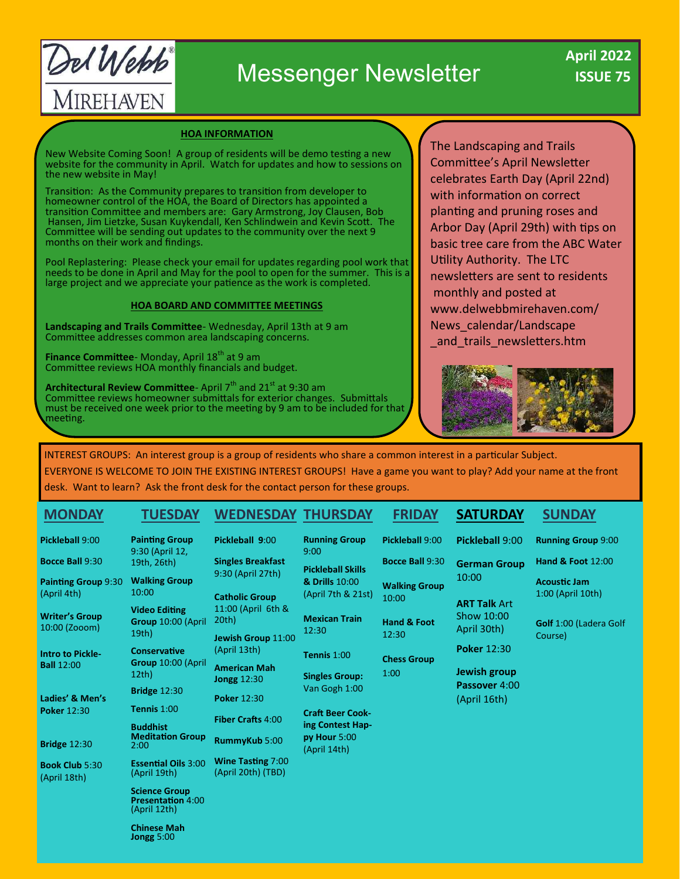Del Webb MIREHAVEN

# Messenger Newsletter

#### **HOA INFORMATION**

New Website Coming Soon! A group of residents will be demo testing a new website for the community in April. Watch for updates and how to sessions on the new website in May!

Transition: As the Community prepares to transition from developer to homeowner control of the HOA, the Board of Directors has appointed a transition Committee and members are: Gary Armstrong, Joy Clausen, Bob Hansen, Jim Lietzke, Susan Kuykendall, Ken Schlindwein and Kevin Scott. The Committee will be sending out updates to the community over the next 9 months on their work and findings.

Pool Replastering: Please check your email for updates regarding pool work that needs to be done in April and May for the pool to open for the summer. This is a large project and we appreciate your patience as the work is completed.

#### **HOA BOARD AND COMMITTEE MEETINGS**

**Landscaping and Trails Committee**- Wednesday, April 13th at 9 am Committee addresses common area landscaping concerns.

**Finance Committee**- Monday, April 18<sup>th</sup> at 9 am Committee reviews HOA monthly financials and budget.

**Architectural Review Committee**- April 7<sup>th</sup> and 21<sup>st</sup> at 9:30 am Committee reviews homeowner submittals for exterior changes. Submittals must be received one week prior to the meeting by 9 am to be included for that meeting.

The Landscaping and Trails Committee's April Newsletter celebrates Earth Day (April 22nd) with information on correct planting and pruning roses and Arbor Day (April 29th) with tips on basic tree care from the ABC Water Utility Authority. The LTC newsletters are sent to residents monthly and posted at www.delwebbmirehaven.com/ News\_calendar/Landscape and trails newsletters.htm



INTEREST GROUPS: An interest group is a group of residents who share a common interest in a particular Subject. EVERYONE IS WELCOME TO JOIN THE EXISTING INTEREST GROUPS! Have a game you want to play? Add your name at the front desk. Want to learn? Ask the front desk for the contact person for these groups.

#### **MONDAY Pickleball** 9:00 **Bocce Ball** 9:30 **Painting Group** 9:30 (April 4th) **Writer's Group** 10:00 (Zooom) **Intro to Pickle-Ball** 12:00 **Ladies' & Men's Poker** 12:30 **Bridge** 12:30 **Book Club** 5:30 (April 18th)  **TUESDAY Painting Group**  9:30 (April 12, 19th, 26th) **Walking Group**  10:00 **Video Editing Group** 10:00 (April 19th) **Conservative Group** 10:00 (April 12th) **Bridge** 12:30 **Tennis** 1:00 **Buddhist Meditation Group**  2:00 **Essential Oils** 3:00 (April 19th) **WEDNESDAY THURSDAY Pickleball 9**:00 **Singles Breakfast**  9:30 (April 27th) **Catholic Group**  11:00 (April 6th & 20th) **Jewish Group** 11:00 (April 13th) **American Mah Jongg** 12:30 **Poker** 12:30 **Fiber Crafts** 4:00 **RummyKub** 5:00 **Wine Tasting** 7:00 (April 20th) (TBD) **Running Group**  9:00 **Pickleball Skills & Drills** 10:00 (April 7th & 21st) **Mexican Train**  12:30 **Tennis** 1:00 **Singles Group:**  Van Gogh 1:00 **Craft Beer Cooking Contest Happy Hour** 5:00 (April 14th)  **FRIDAY Pickleball** 9:00 **Bocce Ball** 9:30 **Walking Group**  10:00 **Hand & Foot**  12:30 **Chess Group**  1:00 **SATURDAY Pickleball** 9:00 **German Group**  10:00 **ART Talk** Art Show 10:00 April 30th) **Poker** 12:30 **Jewish group Passover** 4:00 (April 16th)  **SUNDAY Running Group** 9:00 **Hand & Foot** 12:00 **Acoustic Jam** 1:00 (April 10th) **Golf** 1:00 (Ladera Golf Course)

**Science Group Presentation** 4:00 (April 12th)

**Chinese Mah Jongg** 5:00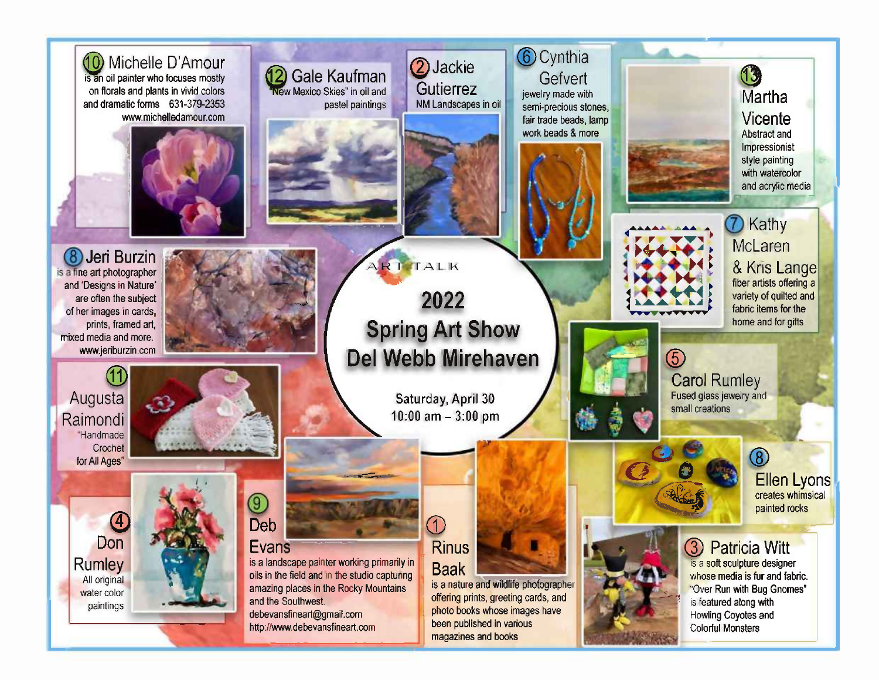